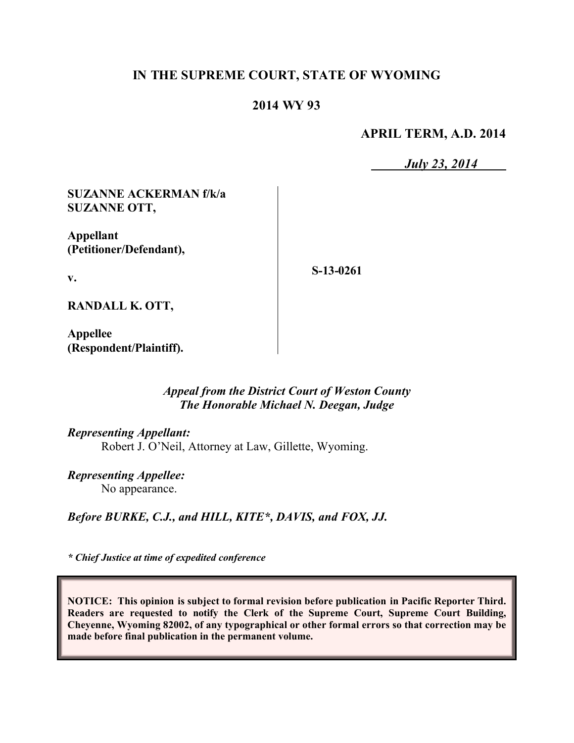# **IN THE SUPREME COURT, STATE OF WYOMING**

# **2014 WY 93**

**APRIL TERM, A.D. 2014**

*July 23, 2014*

**SUZANNE ACKERMAN f/k/a SUZANNE OTT,**

**Appellant (Petitioner/Defendant),**

**S-13-0261**

**RANDALL K. OTT,**

**v.**

**Appellee (Respondent/Plaintiff).**

## *Appeal from the District Court of Weston County The Honorable Michael N. Deegan, Judge*

*Representing Appellant:*

Robert J. O'Neil, Attorney at Law, Gillette, Wyoming.

*Representing Appellee:* No appearance.

*Before BURKE, C.J., and HILL, KITE\*, DAVIS, and FOX, JJ.*

*\* Chief Justice at time of expedited conference* 

**NOTICE: This opinion is subject to formal revision before publication in Pacific Reporter Third. Readers are requested to notify the Clerk of the Supreme Court, Supreme Court Building, Cheyenne, Wyoming 82002, of any typographical or other formal errors so that correction may be made before final publication in the permanent volume.**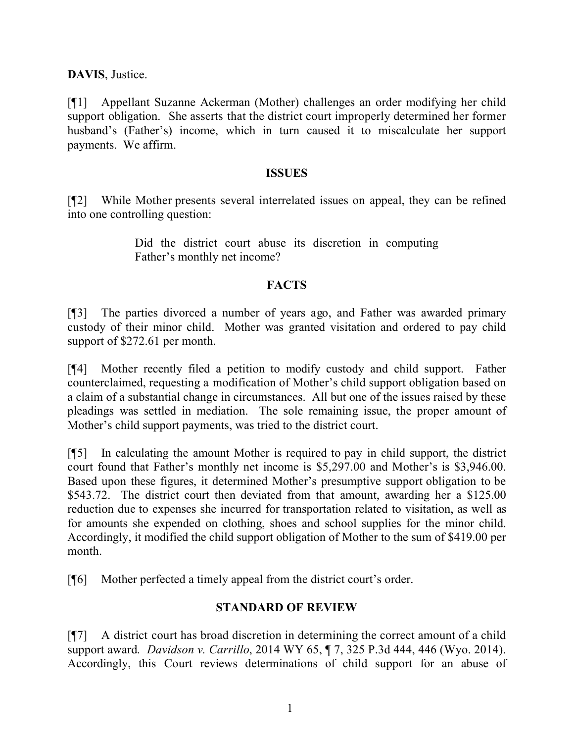**DAVIS**, Justice.

[¶1] Appellant Suzanne Ackerman (Mother) challenges an order modifying her child support obligation. She asserts that the district court improperly determined her former husband's (Father's) income, which in turn caused it to miscalculate her support payments. We affirm.

#### **ISSUES**

[¶2] While Mother presents several interrelated issues on appeal, they can be refined into one controlling question:

> Did the district court abuse its discretion in computing Father's monthly net income?

## **FACTS**

[¶3] The parties divorced a number of years ago, and Father was awarded primary custody of their minor child. Mother was granted visitation and ordered to pay child support of \$272.61 per month.

[¶4] Mother recently filed a petition to modify custody and child support. Father counterclaimed, requesting a modification of Mother's child support obligation based on a claim of a substantial change in circumstances. All but one of the issues raised by these pleadings was settled in mediation. The sole remaining issue, the proper amount of Mother's child support payments, was tried to the district court.

[¶5] In calculating the amount Mother is required to pay in child support, the district court found that Father's monthly net income is \$5,297.00 and Mother's is \$3,946.00. Based upon these figures, it determined Mother's presumptive support obligation to be \$543.72. The district court then deviated from that amount, awarding her a \$125.00 reduction due to expenses she incurred for transportation related to visitation, as well as for amounts she expended on clothing, shoes and school supplies for the minor child. Accordingly, it modified the child support obligation of Mother to the sum of \$419.00 per month.

[¶6] Mother perfected a timely appeal from the district court's order.

## **STANDARD OF REVIEW**

[¶7] A district court has broad discretion in determining the correct amount of a child support award*. Davidson v. Carrillo*, 2014 WY 65, ¶ 7, 325 P.3d 444, 446 (Wyo. 2014). Accordingly, this Court reviews determinations of child support for an abuse of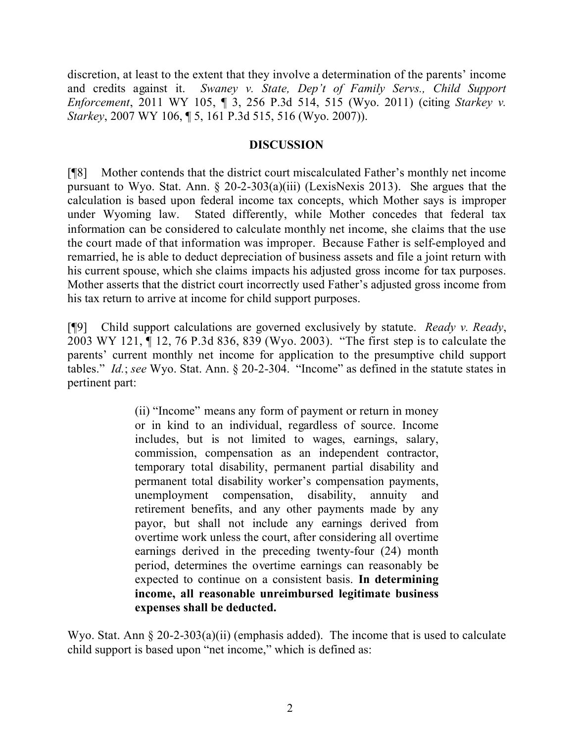discretion, at least to the extent that they involve a determination of the parents' income and credits against it. *Swaney v. State, Dep't of Family Servs., Child Support Enforcement*, 2011 WY 105, ¶ 3, 256 P.3d 514, 515 (Wyo. 2011) (citing *Starkey v. Starkey*, 2007 WY 106, ¶ 5, 161 P.3d 515, 516 (Wyo. 2007)).

## **DISCUSSION**

[¶8] Mother contends that the district court miscalculated Father's monthly net income pursuant to Wyo. Stat. Ann. § 20-2-303(a)(iii) (LexisNexis 2013). She argues that the calculation is based upon federal income tax concepts, which Mother says is improper under Wyoming law. Stated differently, while Mother concedes that federal tax information can be considered to calculate monthly net income, she claims that the use the court made of that information was improper. Because Father is self-employed and remarried, he is able to deduct depreciation of business assets and file a joint return with his current spouse, which she claims impacts his adjusted gross income for tax purposes. Mother asserts that the district court incorrectly used Father's adjusted gross income from his tax return to arrive at income for child support purposes.

[¶9] Child support calculations are governed exclusively by statute. *Ready v. Ready*, 2003 WY 121, ¶ 12, 76 P.3d 836, 839 (Wyo. 2003). "The first step is to calculate the parents' current monthly net income for application to the presumptive child support tables." *Id.*; *see* Wyo. Stat. Ann. § 20-2-304. "Income" as defined in the statute states in pertinent part:

> (ii) "Income" means any form of payment or return in money or in kind to an individual, regardless of source. Income includes, but is not limited to wages, earnings, salary, commission, compensation as an independent contractor, temporary total disability, permanent partial disability and permanent total disability worker's compensation payments, unemployment compensation, disability, annuity and retirement benefits, and any other payments made by any payor, but shall not include any earnings derived from overtime work unless the court, after considering all overtime earnings derived in the preceding twenty-four (24) month period, determines the overtime earnings can reasonably be expected to continue on a consistent basis. **In determining income, all reasonable unreimbursed legitimate business expenses shall be deducted.**

Wyo. Stat. Ann § 20-2-303(a)(ii) (emphasis added). The income that is used to calculate child support is based upon "net income," which is defined as: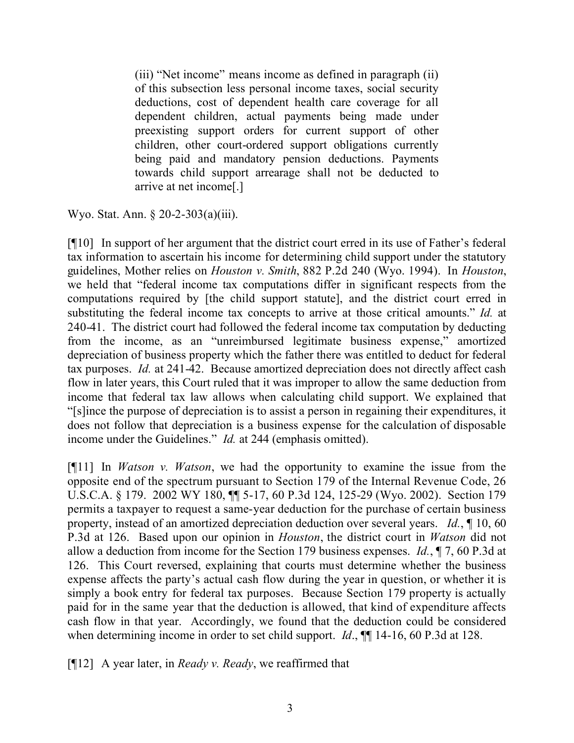(iii) "Net income" means income as defined in paragraph (ii) of this subsection less personal income taxes, social security deductions, cost of dependent health care coverage for all dependent children, actual payments being made under preexisting support orders for current support of other children, other court-ordered support obligations currently being paid and mandatory pension deductions. Payments towards child support arrearage shall not be deducted to arrive at net income[.]

Wyo. Stat. Ann. § 20-2-303(a)(iii).

[¶10] In support of her argument that the district court erred in its use of Father's federal tax information to ascertain his income for determining child support under the statutory guidelines, Mother relies on *Houston v. Smith*, 882 P.2d 240 (Wyo. 1994). In *Houston*, we held that "federal income tax computations differ in significant respects from the computations required by [the child support statute], and the district court erred in substituting the federal income tax concepts to arrive at those critical amounts." *Id.* at 240-41. The district court had followed the federal income tax computation by deducting from the income, as an "unreimbursed legitimate business expense," amortized depreciation of business property which the father there was entitled to deduct for federal tax purposes. *Id.* at 241-42. Because amortized depreciation does not directly affect cash flow in later years, this Court ruled that it was improper to allow the same deduction from income that federal tax law allows when calculating child support. We explained that "[s]ince the purpose of depreciation is to assist a person in regaining their expenditures, it does not follow that depreciation is a business expense for the calculation of disposable income under the Guidelines." *Id.* at 244 (emphasis omitted).

[¶11] In *Watson v. Watson*, we had the opportunity to examine the issue from the opposite end of the spectrum pursuant to Section 179 of the Internal Revenue Code, 26 U.S.C.A. § 179. 2002 WY 180, ¶¶ 5-17, 60 P.3d 124, 125-29 (Wyo. 2002). Section 179 permits a taxpayer to request a same-year deduction for the purchase of certain business property, instead of an amortized depreciation deduction over several years. *Id.*, ¶ 10, 60 P.3d at 126. Based upon our opinion in *Houston*, the district court in *Watson* did not allow a deduction from income for the Section 179 business expenses. *Id.*, ¶ 7, 60 P.3d at 126. This Court reversed, explaining that courts must determine whether the business expense affects the party's actual cash flow during the year in question, or whether it is simply a book entry for federal tax purposes. Because Section 179 property is actually paid for in the same year that the deduction is allowed, that kind of expenditure affects cash flow in that year. Accordingly, we found that the deduction could be considered when determining income in order to set child support. *Id.*,  $\P\P$  14-16, 60 P.3d at 128.

[¶12] A year later, in *Ready v. Ready*, we reaffirmed that